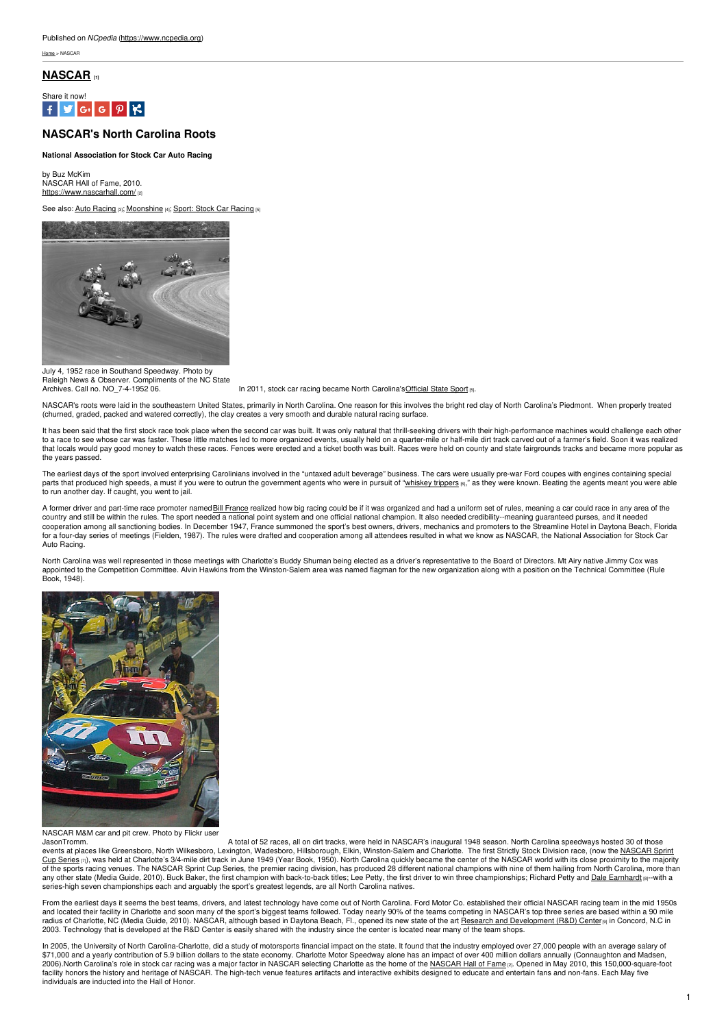[Home](https://www.ncpedia.org/) > NASCAR

## **[NASCAR](https://www.ncpedia.org/nascar) [1]**



# **NASCAR's North Carolina Roots**

#### **National Association for Stock Car Auto Racing**

by Buz McKim NASCAR HAll of Fame, 2010. <https://www.nascarhall.com/>  $_{22}$ 

See also: Auto [Racing](https://www.ncpedia.org/symbols/sport) [3]; [Moonshine](https://www.ncpedia.org/moonshine) [4]; Sport: Stock Car Racing [5]



July 4, 1952 race in Southand Speedway. Photo by Example of the NC State<br>Raleigh News & Observer. Compliments of the NC State<br>Archives. Call no. NO 7-4-1952 06.

In 2011, stock car racing became North Carolina'[sOfficial](https://www.ncpedia.org/symbols/sport) State Sport [5].

NASCAR's roots were laid in the southeastern United States, primarily in North Carolina. One reason for this involves the bright red clay of North Carolina's Piedmont. When properly treated (churned, graded, packed and watered correctly), the clay creates a very smooth and durable natural racing surface.

It has been said that the first stock race took place when the second car was built. It was only natural that thrill-seeking drivers with their high-performance machines would challenge each other<br>to a race to see whose ca that locals would pay good money to watch these races. Fences were erected and a ticket booth was built. Races were held on county and state fairgrounds tracks and became more popular as that locals would pay good money to the years passed.

The earliest days of the sport involved enterprising Carolinians involved in the "untaxed adult beverage" business. The cars were usually pre-war Ford coupes with engines containing special parts that produced high speeds, a must if you were to outrun the government agents who were in pursuit of ["whiskey](http://www.racintoday.com/archives/17606) trippers [6]," as they were known. Beating the agents meant you were able to run another day. If caught, you went to jail.

A former driver and part-time race promoter named Bill [France](https://www.ncpedia.org/nascar#) realized how big racing could be if it was organized and had a uniform set of rules, meaning a car could race in any area of the country and still be within the rules. The sport needed a national point system and one official national champion. It also needed credibility--meaning guaranteed purses, and it needed cooperation among all sanctioning bodies. In December 1947, France summoned the sport's best owners, drivers, mechanics and promoters to the Streamline Hotel in Daytona Beach, Florida<br>for a four-day series of meetings (Fie Auto Racing.

North Carolina was well represented in those meetings with Charlotte's Buddy Shuman being elected as a driver's representative to the Board of Directors. Mt Airy native Jimmy Cox was<br>appointed to the Competition Committee. Book, 1948).



NASCAR M&M car and pit crew. Photo by Flickr user

JasonTromm.<br>A total of 52 races, all on dirt tracks, were held in NASCAR's inaugural 1948 season. North Carolina speedways hosted 30 of those<br>events at places like Greensboro, North Wilkesboro, Lexington, Wadesboro, Hillsb Cup Series  $m$ <sub>2</sub>, was held at Charlotte's 3/4-mile dirt track in June 1949 (Year Book, 1950). North Carolina quickly became the center of the NASCAR world with its close proximity to the majority of the majority of the sports racing venues. The NASCAR Sprint Cup Series, the premier racing division, has produced 28 different national champions with nine of them hailing from North Carolina, more than any other state (Media Guide, 2010). Buck Baker, the first champion with back-to-back titles; Lee Petty, the first driver to win three championships; Richard Petty and Dale [Earnhardt](https://www.ncpedia.org/earnhardt-dale) [8]--with a series-high seven championships each and arguably the sport's greatest legends, are all North Carolina natives.

From the earliest days it seems the best teams, drivers, and latest technology have come out of North Carolina. Ford Motor Co. established their official NASCAR racing team in the mid 1950s and located their facility in Charlotte and soon many of the sport's biggest teams followed. Today nearly 90% of the teams competing in NASCAR's top three series are based within a 90 mile radius of Charlotte, NC (Media Guide, 2010). NASCAR, although based in Daytona Beach, Fl., opened its new state of the art Research and [Development](https://www.nascar.com) (R&D) Center(9) in Concord, N.C in 2003. Technology that is developed at the R&D Center is easily shared with the industry since the center is located near many of the team shops.

In 2005, the University of North Carolina-Charlotte, did a study of motorsports financial impact on the state. It found that the industry employed over 27,000 people with an average salary of \$71,000 and a yearly contribution of 5.9 billion dollars to the state economy. Charlotte Motor Speedway alone has an impact of over 400 million dollars annually (Connaughton and Madsen,<br>2006).North Carolina's role in stoc facility honors the history and heritage of NASCAR. The high-tech venue features artifacts and interactive exhibits designed to educate and entertain fans and non-fans. Each May five individuals are inducted into the Hall of Honor.